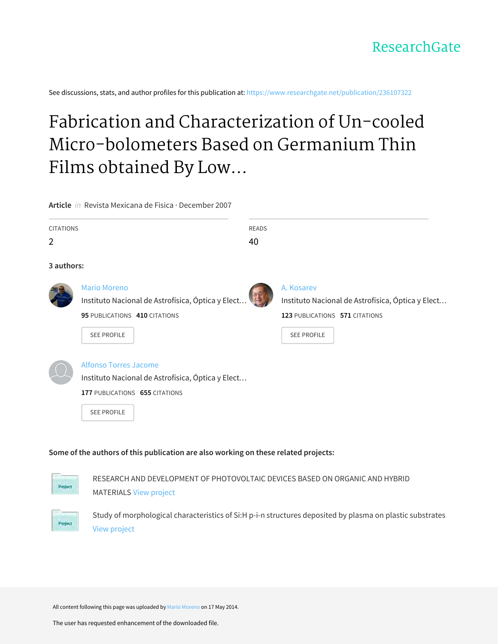See discussions, stats, and author profiles for this publication at: https://www.researchgate.net/publication/236107322

# Fabrication and Characterization of Un-cooled Micro-bolometers Based on Germanium Thin Films obtained By Low...

Article *in* Revista Mexicana de Fisica · December 2007

| <b>CITATIONS</b><br>$\overline{2}$                                                  |                                                                                                                                                          | <b>READS</b><br>40 |                                                                                                   |  |  |  |  |  |  |
|-------------------------------------------------------------------------------------|----------------------------------------------------------------------------------------------------------------------------------------------------------|--------------------|---------------------------------------------------------------------------------------------------|--|--|--|--|--|--|
| 3 authors:                                                                          |                                                                                                                                                          |                    |                                                                                                   |  |  |  |  |  |  |
|                                                                                     | <b>Mario Moreno</b><br>Instituto Nacional de Astrofísica, Óptica y Elect<br>95 PUBLICATIONS 410 CITATIONS                                                |                    | A. Kosarev<br>Instituto Nacional de Astrofísica, Óptica y Elect<br>123 PUBLICATIONS 571 CITATIONS |  |  |  |  |  |  |
|                                                                                     | <b>SEE PROFILE</b><br>Alfonso Torres Jacome<br>Instituto Nacional de Astrofísica, Óptica y Elect<br>177 PUBLICATIONS 655 CITATIONS<br><b>SEE PROFILE</b> |                    | <b>SEE PROFILE</b>                                                                                |  |  |  |  |  |  |
| Some of the authors of this publication are also working on these related projects: |                                                                                                                                                          |                    |                                                                                                   |  |  |  |  |  |  |



RESEARCH AND DEVELOPMENT OF PHOTOVOLTAIC DEVICES BASED ON ORGANIC AND HYBRID **MATERIALS View project** 



Study of morphological characteristics of Si:H p-i-n structures deposited by plasma on plastic substrates [View project](https://www.researchgate.net/project/Study-of-morphological-characteristics-of-SiH-p-i-n-structures-deposited-by-plasma-on-plastic-substrates?enrichId=rgreq-c09b90166de3196ea4722fc2ddf293be-XXX&enrichSource=Y292ZXJQYWdlOzIzNjEwNzMyMjtBUzo5NzcwMTQxMjczNzAzOUAxNDAwMzA1MjQwODc4&el=1_x_9&_esc=publicationCoverPdf)

All content following this page was uploaded by Mario Moreno on 17 May 2014.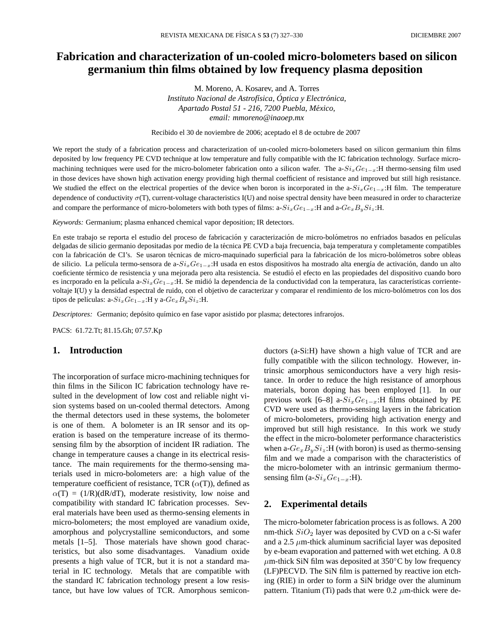## **Fabrication and characterization of un-cooled micro-bolometers based on silicon germanium thin films obtained by low frequency plasma deposition**

M. Moreno, A. Kosarev, and A. Torres *Instituto Nacional de Astrof´ısica, Optica y Electr ´ onica, ´ Apartado Postal 51 - 216, 7200 Puebla, Mexico, ´ email: mmoreno@inaoep.mx*

Recibido el 30 de noviembre de 2006; aceptado el 8 de octubre de 2007

We report the study of a fabrication process and characterization of un-cooled micro-bolometers based on silicon germanium thin films deposited by low frequency PE CVD technique at low temperature and fully compatible with the IC fabrication technology. Surface micromachining techniques were used for the micro-bolometer fabrication onto a silicon wafer. The a- $Si_xGe_{1-x}$ :H thermo-sensing film used in those devices have shown high activation energy providing high thermal coefficient of resistance and improved but still high resistance. We studied the effect on the electrical properties of the device when boron is incorporated in the a- $Si_xGe_{1-x}$ :H film. The temperature dependence of conductivity  $\sigma(T)$ , current-voltage characteristics I(U) and noise spectral density have been measured in order to characterize and compare the performance of micro-bolometers with both types of films: a-Si $_xGe_{1-x}$ :H and a-G $e_xB_ySi_z$ :H.

*Keywords:* Germanium; plasma enhanced chemical vapor deposition; IR detectors.

En este trabajo se reporta el estudio del proceso de fabricación y caracterización de micro-bolómetros no enfriados basados en películas delgadas de silicio germanio depositadas por medio de la técnica PE CVD a baja frecuencia, baja temperatura y completamente compatibles con la fabricación de CI's. Se usaron técnicas de micro-maquinado superficial para la fabricación de los micro-bolómetros sobre obleas de silicio. La película termo-sensora de a- $Si_xGe_{1-x}$ :H usada en estos dispositivos ha mostrado alta energía de activación, dando un alto coeficiente térmico de resistencia y una mejorada pero alta resistencia. Se estudió el efecto en las propiedades del dispositivo cuando boro es incrporado en la película a-SixGe<sub>1−x</sub>:H. Se midió la dependencia de la conductividad con la temperatura, las características corrientevoltaje I(U) y la densidad espectral de ruido, con el objetivo de caracterizar y comparar el rendimiento de los micro-bolometros con los dos ´ tipos de películas: a- $Si_xGe_{1-x}$ :H y a- $Ge_xB_ySi_z$ :H.

*Descriptores:* Germanio; depósito químico en fase vapor asistido por plasma; detectores infrarojos.

PACS: 61.72.Tt; 81.15.Gh; 07.57.Kp

### **1. Introduction**

The incorporation of surface micro-machining techniques for thin films in the Silicon IC fabrication technology have resulted in the development of low cost and reliable night vision systems based on un-cooled thermal detectors. Among the thermal detectors used in these systems, the bolometer is one of them. A bolometer is an IR sensor and its operation is based on the temperature increase of its thermosensing film by the absorption of incident IR radiation. The change in temperature causes a change in its electrical resistance. The main requirements for the thermo-sensing materials used in micro-bolometers are: a high value of the temperature coefficient of resistance, TCR  $(\alpha(T))$ , defined as  $\alpha(T) = (1/R)(dR/dT)$ , moderate resistivity, low noise and compatibility with standard IC fabrication processes. Several materials have been used as thermo-sensing elements in micro-bolometers; the most employed are vanadium oxide, amorphous and polycrystalline semiconductors, and some metals [1–5]. Those materials have shown good characteristics, but also some disadvantages. Vanadium oxide presents a high value of TCR, but it is not a standard material in IC technology. Metals that are compatible with the standard IC fabrication technology present a low resistance, but have low values of TCR. Amorphous semiconductors (a-Si:H) have shown a high value of TCR and are fully compatible with the silicon technology. However, intrinsic amorphous semiconductors have a very high resistance. In order to reduce the high resistance of amorphous materials, boron doping has been employed [1]. In our previous work [6–8] a- $Si_xGe_{1-x}$ :H films obtained by PE CVD were used as thermo-sensing layers in the fabrication of micro-bolometers, providing high activation energy and improved but still high resistance. In this work we study the effect in the micro-bolometer performance characteristics when a- $Ge_xB_ySi_z$ :H (with boron) is used as thermo-sensing film and we made a comparison with the characteristics of the micro-bolometer with an intrinsic germanium thermosensing film (a- $Si_xGe_{1-x}$ :H).

#### **2. Experimental details**

The micro-bolometer fabrication process is as follows. A 200 nm-thick  $SiO<sub>2</sub>$  layer was deposited by CVD on a c-Si wafer and a 2.5  $\mu$ m-thick aluminum sacrificial layer was deposited by e-beam evaporation and patterned with wet etching. A 0.8  $\mu$ m-thick SiN film was deposited at 350°C by low frequency (LF)PECVD. The SiN film is patterned by reactive ion etching (RIE) in order to form a SiN bridge over the aluminum pattern. Titanium (Ti) pads that were 0.2  $\mu$ m-thick were de-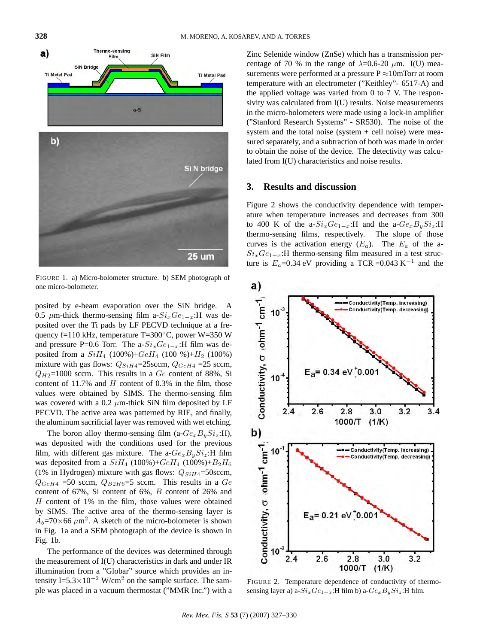

FIGURE 1. a) Micro-bolometer structure. b) SEM photograph of one micro-bolometer.

posited by e-beam evaporation over the SiN bridge. A 0.5  $\mu$ m-thick thermo-sensing film a- $Si_xGe_{1-x}$ :H was deposited over the Ti pads by LF PECVD technique at a frequency f=110 kHz, temperature T=300◦C, power W=350 W and pressure P=0.6 Torr. The a- $Si_xGe_{1-x}$ :H film was deposited from a  $SiH_4$  (100%)+ $GeH_4$  (100 %)+ $H_2$  (100%) mixture with gas flows:  $Q_{SiH4}$ =25 sccm,  $Q_{GeH4}$  =25 sccm,  $Q_{H2}=1000$  sccm. This results in a  $Ge$  content of 88%, Si content of 11.7% and  $H$  content of 0.3% in the film, those values were obtained by SIMS. The thermo-sensing film was covered with a 0.2  $\mu$ m-thick SiN film deposited by LF PECVD. The active area was patterned by RIE, and finally, the aluminum sacrificial layer was removed with wet etching.

The boron alloy thermo-sensing film (a- $Ge_xB_ySi_z$ :H), was deposited with the conditions used for the previous film, with different gas mixture. The a- $Ge_xB_ySi_z$ :H film was deposited from a  $SiH_4$  (100%)+ $GeH_4$  (100%)+ $B_2H_6$ (1% in Hydrogen) mixture with gas flows:  $Q_{SiH4}$ =50sccm,  $Q_{GeH4}$  =50 sccm,  $Q_{B2H6}$ =5 sccm. This results in a Ge content of 67%, Si content of 6%, B content of 26% and H content of 1% in the film, those values were obtained by SIMS. The active area of the thermo-sensing layer is  $A_b = 70 \times 66 \ \mu \text{m}^2$ . A sketch of the micro-bolometer is shown in Fig. 1a and a SEM photograph of the device is shown in Fig. 1b.

The performance of the devices was determined through the measurement of I(U) characteristics in dark and under IR illumination from a "Globar" source which provides an intensity I=5.3×10<sup>-2</sup> W/cm<sup>2</sup> on the sample surface. The sample was placed in a vacuum thermostat ("MMR Inc.") with a Zinc Selenide window (ZnSe) which has a transmission percentage of 70 % in the range of  $\lambda$ =0.6-20  $\mu$ m. I(U) measurements were performed at a pressure  $P \approx 10$ mTorr at room temperature with an electrometer ("Keithley"- 6517-A) and the applied voltage was varied from 0 to 7 V. The responsivity was calculated from I(U) results. Noise measurements in the micro-bolometers were made using a lock-in amplifier ("Stanford Research Systems" - SR530). The noise of the system and the total noise (system  $+$  cell noise) were measured separately, and a subtraction of both was made in order to obtain the noise of the device. The detectivity was calculated from I(U) characteristics and noise results.

#### **3. Results and discussion**

Figure 2 shows the conductivity dependence with temperature when temperature increases and decreases from 300 to 400 K of the a- $Si_xGe_{1-x}$ :H and the a- $Ge_xB_ySi_z$ :H thermo-sensing films, respectively. The slope of those curves is the activation energy  $(E_a)$ . The  $E_a$  of the a- $Si_xGe_{1-x}$ :H thermo-sensing film measured in a test structure is  $E_a$ =0.34 eV providing a TCR =0.043 K<sup>-1</sup> and the



FIGURE 2. Temperature dependence of conductivity of thermosensing layer a) a- $Si_xGe_{1-x}$ :H film b) a- $Ge_xB_ySi_z$ :H film.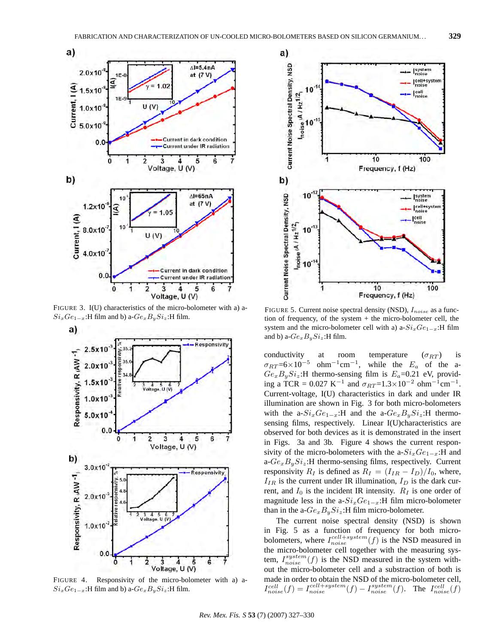

FIGURE 3. I(U) characteristics of the micro-bolometer with a) a- $Si_xGe_{1-x}$ :H film and b) a- $Ge_xB_ySi_z$ :H film.



FIGURE 4. Responsivity of the micro-bolometer with a) a- $Si_xGe_{1-x}$ :H film and b) a- $Ge_xB_ySi_z$ :H film.



FIGURE 5. Current noise spectral density (NSD),  $I_{noise}$  as a function of frequency, of the system + the micro-bolometer cell, the system and the micro-bolometer cell with a) a- $Si_xGe_{1-x}$ :H film and b) a- $Ge_xB_ySi_z$ :H film.

conductivity at room temperature  $(\sigma_{RT})$  is  $\sigma_{RT}$ =6×10<sup>-5</sup> ohm<sup>-1</sup>cm<sup>-1</sup>, while the E<sub>a</sub> of the a- $Ge_xB_ySi_z$ :H thermo-sensing film is  $E_a$ =0.21 eV, providing a TCR = 0.027 K<sup>-1</sup> and  $\sigma_{RT}$ =1.3×10<sup>-2</sup> ohm<sup>-1</sup>cm<sup>-1</sup>. Current-voltage, I(U) characteristics in dark and under IR illumination are shown in Fig. 3 for both micro-bolometers with the a- $Si_xGe_{1-x}$ :H and the a- $Ge_xB_ySi_z$ :H thermosensing films, respectively. Linear I(U)characteristics are observed for both devices as it is demonstrated in the insert in Figs. 3a and 3b. Figure 4 shows the current responsivity of the micro-bolometers with the a- $Si_xGe_{1-x}$ :H and a- $Ge_xB_ySi_z$ :H thermo-sensing films, respectively. Current responsivity  $R_I$  is defined as  $R_I = (I_{IR} - I_D)/I_0$ , where,  $I_{IR}$  is the current under IR illumination,  $I_D$  is the dark current, and  $I_0$  is the incident IR intensity.  $R_I$  is one order of magnitude less in the a- $Si_xGe_{1-x}$ :H film micro-bolometer than in the a- $Ge_xB_ySi_z$ :H film micro-bolometer.

The current noise spectral density (NSD) is shown in Fig. 5 as a function of frequency for both microbolometers, where  $I_{noise}^{cell+system}(f)$  is the NSD measured in the micro-bolometer cell together with the measuring system,  $I_{noise}^{system}(f)$  is the NSD measured in the system without the micro-bolometer cell and a substraction of both is made in order to obtain the NSD of the micro-bolometer cell,  $I_{noise}^{cell}(f) = I_{noise}^{cell+system}(f) - I_{noise}^{system}(f)$ . The  $I_{noise}^{cell}(f)$